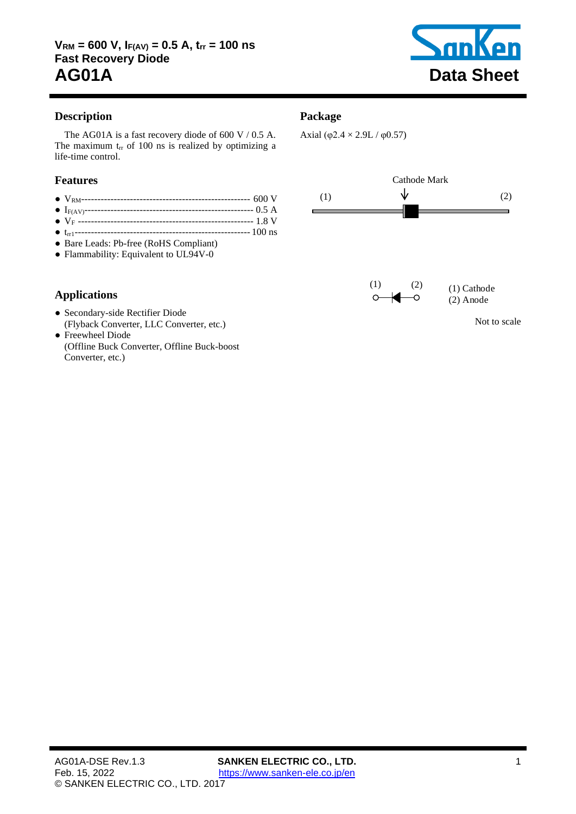

# **Description**

The AG01A is a fast recovery diode of [600](#page-1-0) V / [0.5](#page-1-1) A. The maximum  $t_{rr}$  of [100](#page-1-2) ns is realized by optimizing a life-time control.

#### **Features**

- VRM---------------------------------------------------- [600](#page-1-0) V
- IF(AV)---------------------------------------------------- [0.5](#page-1-1) A
- V<sup>F</sup> ------------------------------------------------------ [1.8](#page-1-3) V
- trr1------------------------------------------------------ [100](#page-1-2) ns
- Bare Leads: Pb-free (RoHS Compliant)
- Flammability: Equivalent to UL94V-0

# **Applications**

- Secondary-side Rectifier Diode (Flyback Converter, LLC Converter, etc.)
- Freewheel Diode (Offline Buck Converter, Offline Buck-boost Converter, etc.)

#### **Package**

Axial (φ2.4  $\times$  2.9L / φ0.57)

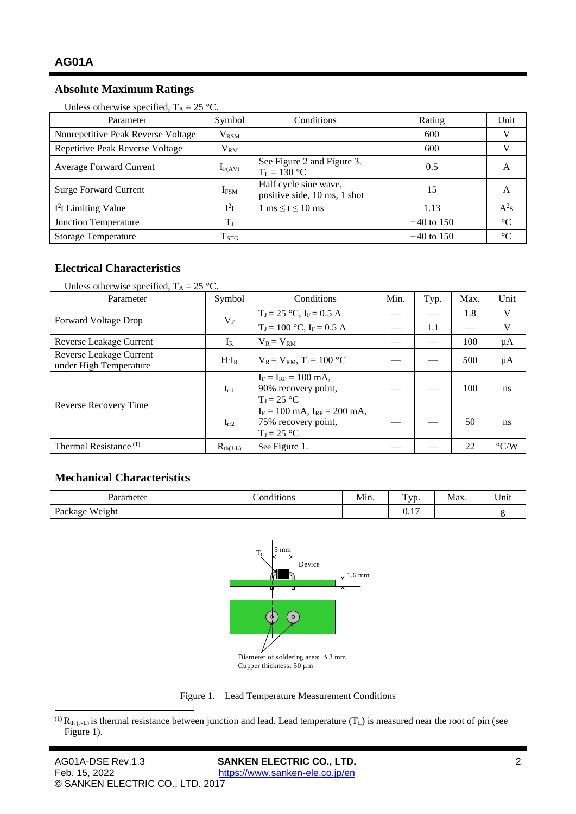### **Absolute Maximum Ratings**

| Parameter                          | Symbol                      | Conditions                                            | Rating       | Unit            |
|------------------------------------|-----------------------------|-------------------------------------------------------|--------------|-----------------|
| Nonrepetitive Peak Reverse Voltage | $\rm V_{RSM}$               |                                                       | 600          | V               |
| Repetitive Peak Reverse Voltage    | $\rm V_{RM}$                |                                                       | 600          |                 |
| <b>Average Forward Current</b>     | $I_{F(AV)}$                 | See Figure 2 and Figure 3.<br>$T_L = 130 °C$          | 0.5          | A               |
| <b>Surge Forward Current</b>       | $I_{FSM}$                   | Half cycle sine wave,<br>positive side, 10 ms, 1 shot | 15           | A               |
| $I2t$ Limiting Value               | $I^2t$                      | $1 \text{ ms} \leq t \leq 10 \text{ ms}$              | 1.13         | $A^2s$          |
| Junction Temperature               | $T_{\rm J}$                 |                                                       | $-40$ to 150 | $\rm ^{\circ}C$ |
| <b>Storage Temperature</b>         | $\mathrm{T}_{\mathrm{STG}}$ |                                                       | $-40$ to 150 | $\rm ^{\circ}C$ |

<span id="page-1-1"></span><span id="page-1-0"></span>Unless otherwise specified,  $T_A = 25 \degree C$ .

#### **Electrical Characteristics**

| Unless otherwise specified, $T_A = 25$ °C.        |               |                                                                            |      |      |      |                    |
|---------------------------------------------------|---------------|----------------------------------------------------------------------------|------|------|------|--------------------|
| Parameter                                         | Symbol        | Conditions                                                                 | Min. | Typ. | Max. | Unit               |
| <b>Forward Voltage Drop</b>                       | $V_{\rm F}$   | $T_J = 25$ °C, $I_F = 0.5$ A                                               |      |      | 1.8  | V                  |
|                                                   |               | $T_J = 100$ °C, $I_F = 0.5$ A                                              |      | 1.1  |      | V                  |
| Reverse Leakage Current                           | $I_{R}$       | $V_R = V_{RM}$                                                             |      |      | 100  | μA                 |
| Reverse Leakage Current<br>under High Temperature | $H \cdot I_R$ | $V_R = V_{RM}$ , $T_I = 100$ °C                                            |      |      | 500  | μA                 |
| Reverse Recovery Time                             | $t_{rr1}$     | $I_F = I_{RP} = 100$ mA.<br>90% recovery point,<br>$T_1 = 25$ °C           |      |      | 100  | ns                 |
|                                                   | $t_{rr2}$     | $I_F = 100$ mA, $I_{RP} = 200$ mA,<br>75% recovery point,<br>$T_J = 25$ °C |      |      | 50   | <sub>ns</sub>      |
| Thermal Resistance <sup>(1)</sup>                 | $R_{th(I-L)}$ | See Figure 1.                                                              |      |      | 22   | $\rm ^{\circ}$ C/W |

### **Mechanical Characteristics**

| romatar<br>৴い                   | . .<br>ั∩ท<br>l1t10ns<br>$\begin{array}{cccccccccccccc} \multicolumn{4}{c}{} & \multicolumn{4}{c}{} & \multicolumn{4}{c}{} & \multicolumn{4}{c}{} & \multicolumn{4}{c}{} & \multicolumn{4}{c}{} & \multicolumn{4}{c}{} & \multicolumn{4}{c}{} & \multicolumn{4}{c}{} & \multicolumn{4}{c}{} & \multicolumn{4}{c}{} & \multicolumn{4}{c}{} & \multicolumn{4}{c}{} & \multicolumn{4}{c}{} & \multicolumn{4}{c}{} & \multicolumn{4}{c}{} & \multicolumn{4}{c}{} & \multicolumn{4}{c}{} & \multicolumn{4}{c}{} & \$ | $\cdots$<br>Mın.<br>the contract of the contract of the | --<br>VD.             | Max.                     | $ -$<br>Jnii<br>$   -$ |
|---------------------------------|-----------------------------------------------------------------------------------------------------------------------------------------------------------------------------------------------------------------------------------------------------------------------------------------------------------------------------------------------------------------------------------------------------------------------------------------------------------------------------------------------------------------|---------------------------------------------------------|-----------------------|--------------------------|------------------------|
| <b>TYY</b><br>'eight'<br>ackage |                                                                                                                                                                                                                                                                                                                                                                                                                                                                                                                 | —                                                       | $\sim$<br>$U \cdot I$ | $\overline{\phantom{a}}$ |                        |

<span id="page-1-3"></span><span id="page-1-2"></span>

Figure 1. Lead Temperature Measurement Conditions

<span id="page-1-4"></span><sup>&</sup>lt;sup>(1)</sup>  $R_{th (J-L)}$  is thermal resistance between junction and lead. Lead temperature (T<sub>L</sub>) is measured near the root of pin (see [Figure](#page-1-4) 1).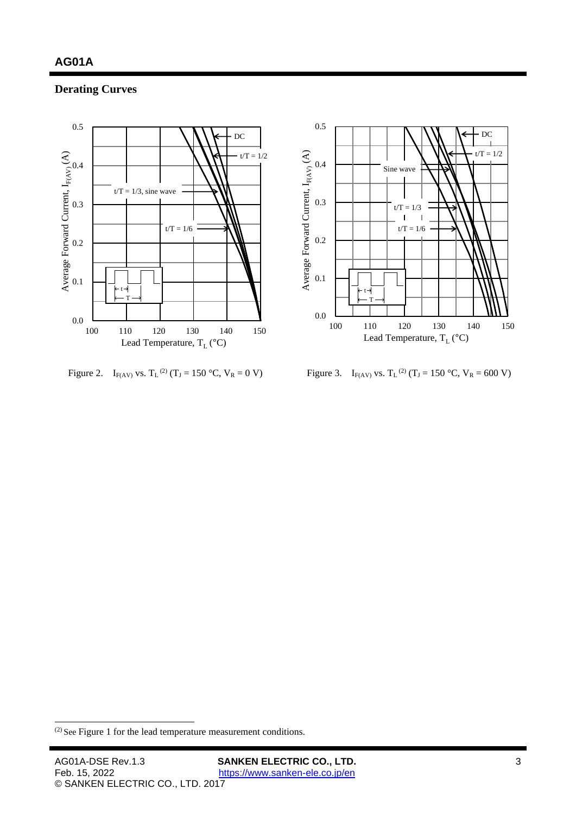# **Derating Curves**



<span id="page-2-0"></span>Figure 2. I<sub>F(AV)</sub> vs.  $T_L^{(2)}(T_J = 150 \degree C, V_R = 0 V)$  Figure 3. I<sub>F(AV)</sub> vs.  $T_L$ 



<span id="page-2-1"></span>Figure 3. I<sub>F(AV)</sub> vs. T<sub>L</sub><sup>(2)</sup> (T<sub>J</sub> = 150 °C, V<sub>R</sub> = [600](#page-1-0) V)

<sup>(2)</sup> See [Figure](#page-1-4) 1 for the lead temperature measurement conditions.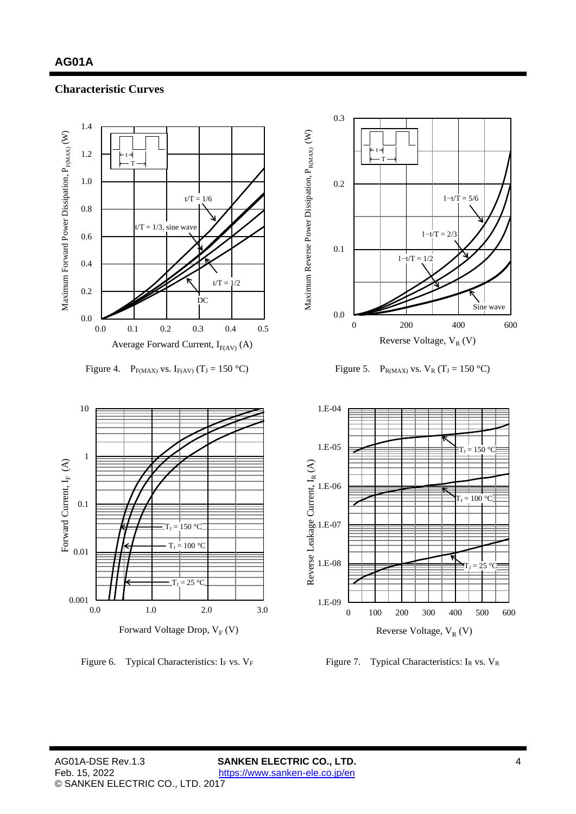#### **Characteristic Curves**



Figure 4. P<sub>F(MAX)</sub> vs. I<sub>F(AV)</sub> (T<sub>J</sub> = 150 °C) Figure 5. P<sub>R(MAX)</sub> vs. V<sub>R</sub> (T<sub>J</sub> = 150 °C)



Figure 6. Typical Characteristics: I<sub>F</sub> vs.  $V_F$  Figure 7. Typical Characteristics: I<sub>R</sub> vs.  $V_R$ 



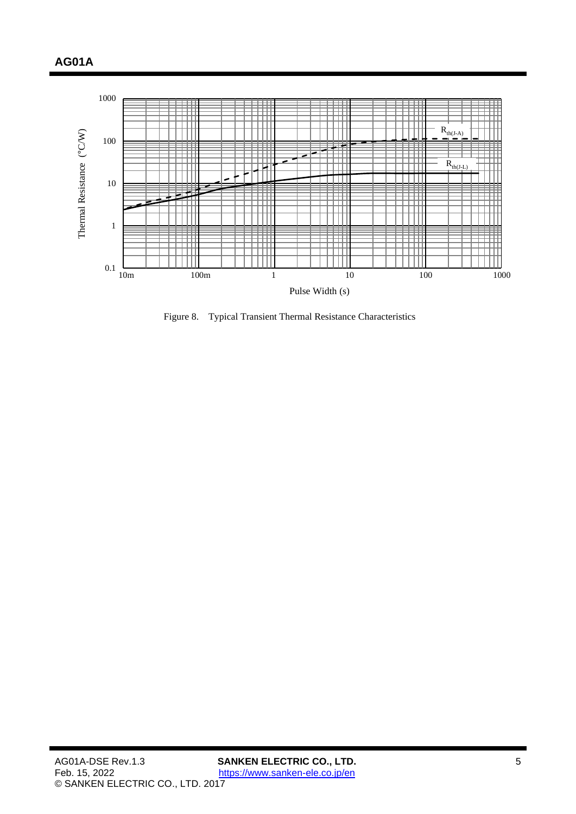

Figure 8. Typical Transient Thermal Resistance Characteristics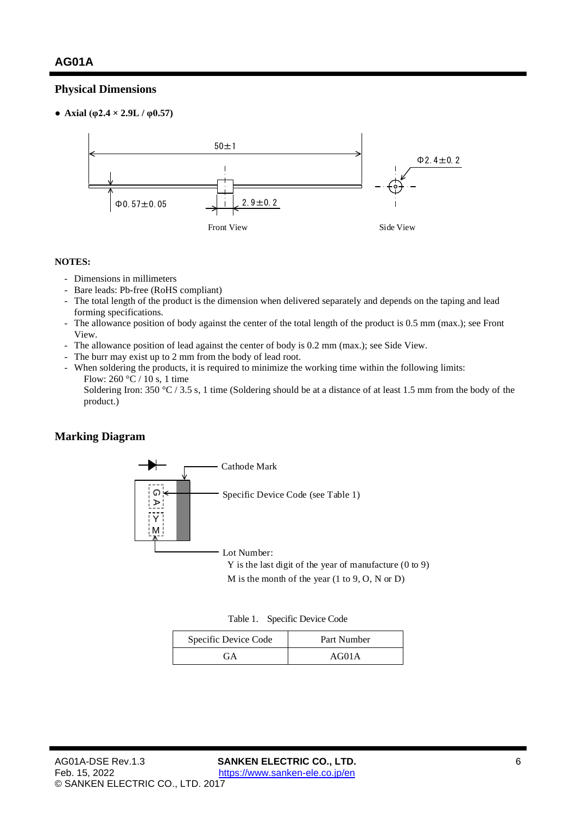#### **Physical Dimensions**

● **Axial (φ2.4 × 2.9L / φ0.57)**



#### **NOTES:**

- Dimensions in millimeters
- Bare leads: Pb-free (RoHS compliant)
- The total length of the product is the dimension when delivered separately and depends on the taping and lead forming specifications.
- The allowance position of body against the center of the total length of the product is 0.5 mm (max.); see Front View.
- The allowance position of lead against the center of body is 0.2 mm (max.); see Side View.
- The burr may exist up to 2 mm from the body of lead root.
- When soldering the products, it is required to minimize the working time within the following limits: Flow: 260  $\degree$ C / 10 s, 1 time

Soldering Iron: 350 °C / 3.5 s, 1 time (Soldering should be at a distance of at least 1.5 mm from the body of the product.)

# **Marking Diagram**



M is the month of the year (1 to 9, O, N or D)

Table 1. Specific Device Code

| Specific Device Code | Part Number |
|----------------------|-------------|
| FА                   | AG01A       |